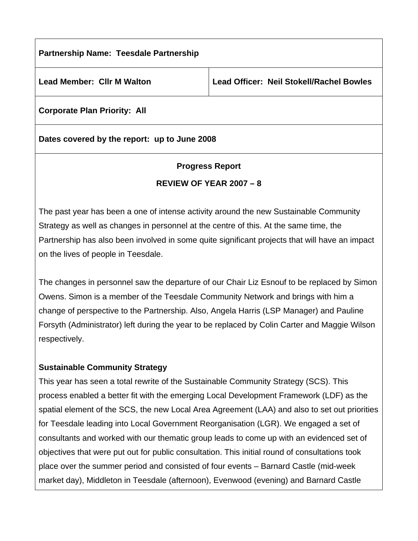| <b>Partnership Name: Teesdale Partnership</b> |                                                 |
|-----------------------------------------------|-------------------------------------------------|
| <b>Lead Member: CIIr M Walton</b>             | <b>Lead Officer: Neil Stokell/Rachel Bowles</b> |
| <b>Corporate Plan Priority: All</b>           |                                                 |
| Dates covered by the report: up to June 2008  |                                                 |

# **Progress Report REVIEW OF YEAR 2007 – 8**

The past year has been a one of intense activity around the new Sustainable Community Strategy as well as changes in personnel at the centre of this. At the same time, the Partnership has also been involved in some quite significant projects that will have an impact on the lives of people in Teesdale.

The changes in personnel saw the departure of our Chair Liz Esnouf to be replaced by Simon Owens. Simon is a member of the Teesdale Community Network and brings with him a change of perspective to the Partnership. Also, Angela Harris (LSP Manager) and Pauline Forsyth (Administrator) left during the year to be replaced by Colin Carter and Maggie Wilson respectively.

## **Sustainable Community Strategy**

This year has seen a total rewrite of the Sustainable Community Strategy (SCS). This process enabled a better fit with the emerging Local Development Framework (LDF) as the spatial element of the SCS, the new Local Area Agreement (LAA) and also to set out priorities for Teesdale leading into Local Government Reorganisation (LGR). We engaged a set of consultants and worked with our thematic group leads to come up with an evidenced set of objectives that were put out for public consultation. This initial round of consultations took place over the summer period and consisted of four events – Barnard Castle (mid-week market day), Middleton in Teesdale (afternoon), Evenwood (evening) and Barnard Castle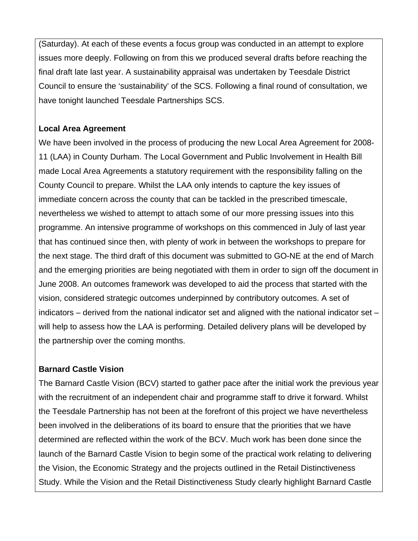(Saturday). At each of these events a focus group was conducted in an attempt to explore issues more deeply. Following on from this we produced several drafts before reaching the final draft late last year. A sustainability appraisal was undertaken by Teesdale District Council to ensure the 'sustainability' of the SCS. Following a final round of consultation, we have tonight launched Teesdale Partnerships SCS.

#### **Local Area Agreement**

We have been involved in the process of producing the new Local Area Agreement for 2008- 11 (LAA) in County Durham. The Local Government and Public Involvement in Health Bill made Local Area Agreements a statutory requirement with the responsibility falling on the County Council to prepare. Whilst the LAA only intends to capture the key issues of immediate concern across the county that can be tackled in the prescribed timescale, nevertheless we wished to attempt to attach some of our more pressing issues into this programme. An intensive programme of workshops on this commenced in July of last year that has continued since then, with plenty of work in between the workshops to prepare for the next stage. The third draft of this document was submitted to GO-NE at the end of March and the emerging priorities are being negotiated with them in order to sign off the document in June 2008. An outcomes framework was developed to aid the process that started with the vision, considered strategic outcomes underpinned by contributory outcomes. A set of indicators – derived from the national indicator set and aligned with the national indicator set – will help to assess how the LAA is performing. Detailed delivery plans will be developed by the partnership over the coming months.

## **Barnard Castle Vision**

The Barnard Castle Vision (BCV) started to gather pace after the initial work the previous year with the recruitment of an independent chair and programme staff to drive it forward. Whilst the Teesdale Partnership has not been at the forefront of this project we have nevertheless been involved in the deliberations of its board to ensure that the priorities that we have determined are reflected within the work of the BCV. Much work has been done since the launch of the Barnard Castle Vision to begin some of the practical work relating to delivering the Vision, the Economic Strategy and the projects outlined in the Retail Distinctiveness Study. While the Vision and the Retail Distinctiveness Study clearly highlight Barnard Castle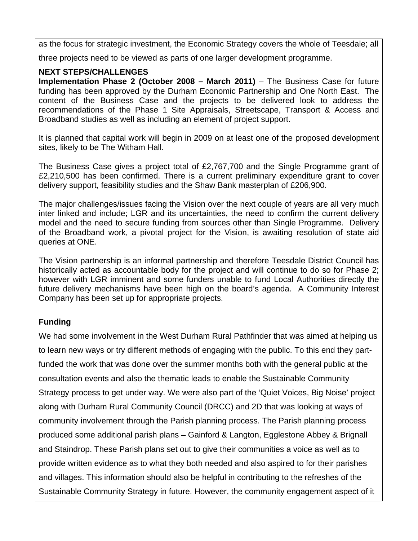as the focus for strategic investment, the Economic Strategy covers the whole of Teesdale; all

three projects need to be viewed as parts of one larger development programme.

#### **NEXT STEPS/CHALLENGES**

**Implementation Phase 2 (October 2008 – March 2011)** – The Business Case for future funding has been approved by the Durham Economic Partnership and One North East. The content of the Business Case and the projects to be delivered look to address the recommendations of the Phase 1 Site Appraisals, Streetscape, Transport & Access and Broadband studies as well as including an element of project support.

It is planned that capital work will begin in 2009 on at least one of the proposed development sites, likely to be The Witham Hall.

The Business Case gives a project total of £2,767,700 and the Single Programme grant of £2,210,500 has been confirmed. There is a current preliminary expenditure grant to cover delivery support, feasibility studies and the Shaw Bank masterplan of £206,900.

The major challenges/issues facing the Vision over the next couple of years are all very much inter linked and include; LGR and its uncertainties, the need to confirm the current delivery model and the need to secure funding from sources other than Single Programme. Delivery of the Broadband work, a pivotal project for the Vision, is awaiting resolution of state aid queries at ONE.

The Vision partnership is an informal partnership and therefore Teesdale District Council has historically acted as accountable body for the project and will continue to do so for Phase 2; however with LGR imminent and some funders unable to fund Local Authorities directly the future delivery mechanisms have been high on the board's agenda. A Community Interest Company has been set up for appropriate projects.

## **Funding**

We had some involvement in the West Durham Rural Pathfinder that was aimed at helping us to learn new ways or try different methods of engaging with the public. To this end they partfunded the work that was done over the summer months both with the general public at the consultation events and also the thematic leads to enable the Sustainable Community Strategy process to get under way. We were also part of the 'Quiet Voices, Big Noise' project along with Durham Rural Community Council (DRCC) and 2D that was looking at ways of community involvement through the Parish planning process. The Parish planning process produced some additional parish plans – Gainford & Langton, Egglestone Abbey & Brignall and Staindrop. These Parish plans set out to give their communities a voice as well as to provide written evidence as to what they both needed and also aspired to for their parishes and villages. This information should also be helpful in contributing to the refreshes of the Sustainable Community Strategy in future. However, the community engagement aspect of it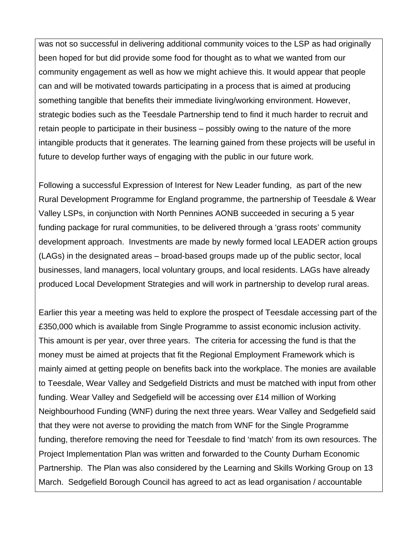was not so successful in delivering additional community voices to the LSP as had originally been hoped for but did provide some food for thought as to what we wanted from our community engagement as well as how we might achieve this. It would appear that people can and will be motivated towards participating in a process that is aimed at producing something tangible that benefits their immediate living/working environment. However, strategic bodies such as the Teesdale Partnership tend to find it much harder to recruit and retain people to participate in their business – possibly owing to the nature of the more intangible products that it generates. The learning gained from these projects will be useful in future to develop further ways of engaging with the public in our future work.

Following a successful Expression of Interest for New Leader funding, as part of the new Rural Development Programme for England programme, the partnership of Teesdale & Wear Valley LSPs, in conjunction with North Pennines AONB succeeded in securing a 5 year funding package for rural communities, to be delivered through a 'grass roots' community development approach. Investments are made by newly formed local LEADER action groups (LAGs) in the designated areas – broad-based groups made up of the public sector, local businesses, land managers, local voluntary groups, and local residents. LAGs have already produced Local Development Strategies and will work in partnership to develop rural areas.

Earlier this year a meeting was held to explore the prospect of Teesdale accessing part of the £350,000 which is available from Single Programme to assist economic inclusion activity. This amount is per year, over three years. The criteria for accessing the fund is that the money must be aimed at projects that fit the Regional Employment Framework which is mainly aimed at getting people on benefits back into the workplace. The monies are available to Teesdale, Wear Valley and Sedgefield Districts and must be matched with input from other funding. Wear Valley and Sedgefield will be accessing over £14 million of Working Neighbourhood Funding (WNF) during the next three years. Wear Valley and Sedgefield said that they were not averse to providing the match from WNF for the Single Programme funding, therefore removing the need for Teesdale to find 'match' from its own resources. The Project Implementation Plan was written and forwarded to the County Durham Economic Partnership. The Plan was also considered by the Learning and Skills Working Group on 13 March. Sedgefield Borough Council has agreed to act as lead organisation / accountable